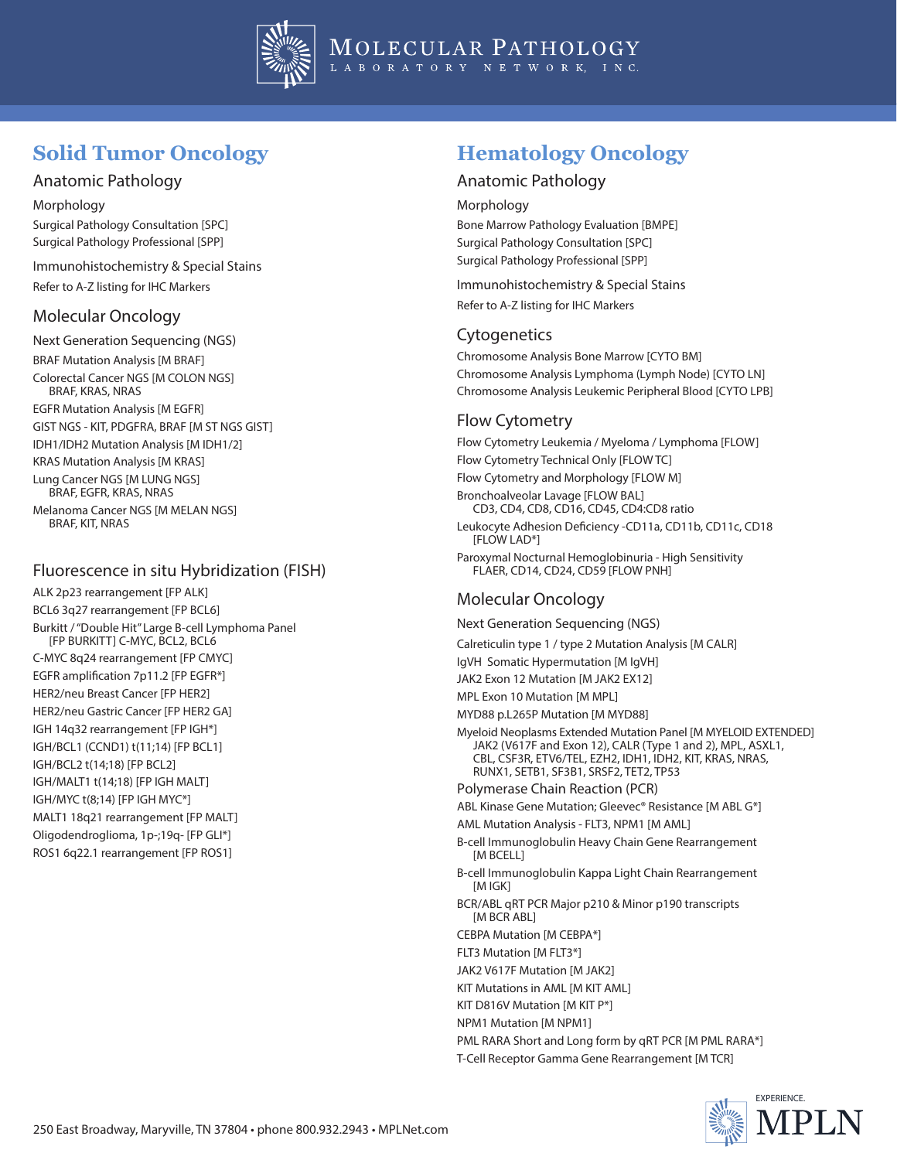

## **Solid Tumor Oncology**

### Anatomic Pathology

Morphology Surgical Pathology Consultation [SPC] Surgical Pathology Professional [SPP]

Immunohistochemistry & Special Stains Refer to A-Z listing for IHC Markers

#### Molecular Oncology

Next Generation Sequencing (NGS) BRAF Mutation Analysis [M BRAF] Colorectal Cancer NGS [M COLON NGS] BRAF, KRAS, NRAS EGFR Mutation Analysis [M EGFR] GIST NGS - KIT, PDGFRA, BRAF [M ST NGS GIST] IDH1/IDH2 Mutation Analysis [M IDH1/2] KRAS Mutation Analysis [M KRAS] Lung Cancer NGS [M LUNG NGS] BRAF, EGFR, KRAS, NRAS Melanoma Cancer NGS [M MELAN NGS] BRAF, KIT, NRAS

## Fluorescence in situ Hybridization (FISH)

ALK 2p23 rearrangement [FP ALK] BCL6 3q27 rearrangement [FP BCL6] Burkitt / "Double Hit" Large B-cell Lymphoma Panel [FP BURKITT] C-MYC, BCL2, BCL6 C-MYC 8q24 rearrangement [FP CMYC] EGFR amplification 7p11.2 [FP EGFR\*] HER2/neu Breast Cancer [FP HER2] HER2/neu Gastric Cancer [FP HER2 GA] IGH 14q32 rearrangement [FP IGH\*] IGH/BCL1 (CCND1) t(11;14) [FP BCL1] IGH/BCL2 t(14;18) [FP BCL2] IGH/MALT1 t(14;18) [FP IGH MALT] IGH/MYC t(8;14) [FP IGH MYC\*] MALT1 18q21 rearrangement [FP MALT] Oligodendroglioma, 1p-;19q- [FP GLI\*] ROS1 6q22.1 rearrangement [FP ROS1]

## **Hematology Oncology**

#### Anatomic Pathology

Morphology

Bone Marrow Pathology Evaluation [BMPE] Surgical Pathology Consultation [SPC] Surgical Pathology Professional [SPP]

Immunohistochemistry & Special Stains Refer to A-Z listing for IHC Markers

#### **Cytogenetics**

Chromosome Analysis Bone Marrow [CYTO BM] Chromosome Analysis Lymphoma (Lymph Node) [CYTO LN] Chromosome Analysis Leukemic Peripheral Blood [CYTO LPB]

## Flow Cytometry

Flow Cytometry Leukemia / Myeloma / Lymphoma [FLOW] Flow Cytometry Technical Only [FLOW TC] Flow Cytometry and Morphology [FLOW M] Bronchoalveolar Lavage [FLOW BAL] CD3, CD4, CD8, CD16, CD45, CD4:CD8 ratio Leukocyte Adhesion Deficiency -CD11a, CD11b, CD11c, CD18 [FLOW LAD\*] Paroxymal Nocturnal Hemoglobinuria - High Sensitivity FLAER, CD14, CD24, CD59 [FLOW PNH]

### Molecular Oncology

Next Generation Sequencing (NGS)

Calreticulin type 1 / type 2 Mutation Analysis [M CALR]

IgVH Somatic Hypermutation [M IgVH]

JAK2 Exon 12 Mutation [M JAK2 EX12]

MPL Exon 10 Mutation [M MPL]

MYD88 p.L265P Mutation [M MYD88]

Myeloid Neoplasms Extended Mutation Panel [M MYELOID EXTENDED] JAK2 (V617F and Exon 12), CALR (Type 1 and 2), MPL, ASXL1, CBL, CSF3R, ETV6/TEL, EZH2, IDH1, IDH2, KIT, KRAS, NRAS, RUNX1, SETB1, SF3B1, SRSF2, TET2, TP53 Polymerase Chain Reaction (PCR)

ABL Kinase Gene Mutation; Gleevec® Resistance [M ABL G\*]

AML Mutation Analysis - FLT3, NPM1 [M AML]

B-cell Immunoglobulin Heavy Chain Gene Rearrangement [M BCELL]

B-cell Immunoglobulin Kappa Light Chain Rearrangement [M IGK]

BCR/ABL qRT PCR Major p210 & Minor p190 transcripts [M BCR ABL]

CEBPA Mutation [M CEBPA\*]

FLT3 Mutation [M FLT3\*]

JAK2 V617F Mutation [M JAK2]

KIT Mutations in AML [M KIT AML]

KIT D816V Mutation [M KIT P\*] NPM1 Mutation [M NPM1]

PML RARA Short and Long form by qRT PCR [M PML RARA\*] T-Cell Receptor Gamma Gene Rearrangement [M TCR]